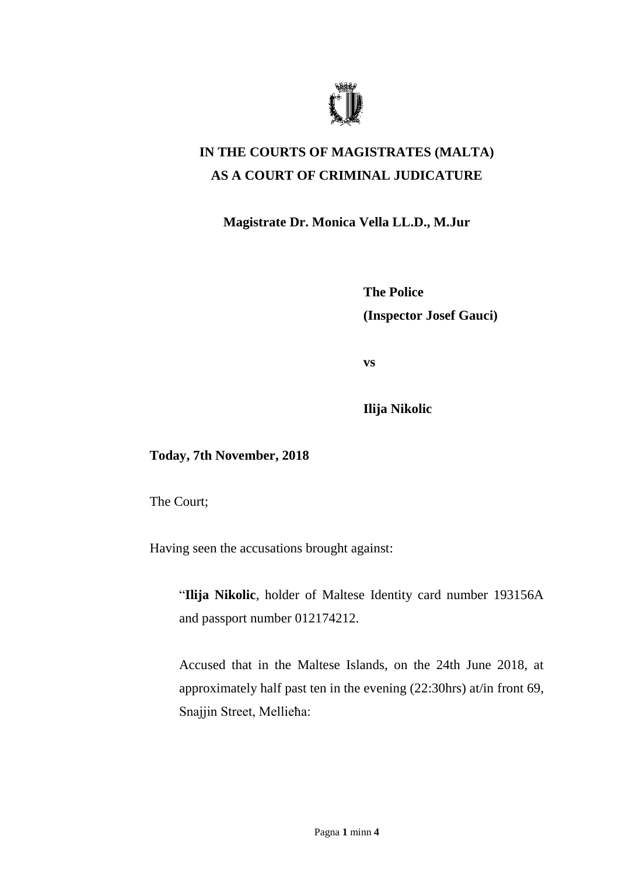

## **IN THE COURTS OF MAGISTRATES (MALTA) AS A COURT OF CRIMINAL JUDICATURE**

**Magistrate Dr. Monica Vella LL.D., M.Jur**

**The Police (Inspector Josef Gauci)**

**vs**

**Ilija Nikolic**

**Today, 7th November, 2018**

The Court;

Having seen the accusations brought against:

"**Ilija Nikolic**, holder of Maltese Identity card number 193156A and passport number 012174212.

Accused that in the Maltese Islands, on the 24th June 2018, at approximately half past ten in the evening (22:30hrs) at/in front 69, Snajjin Street, Mellieħa: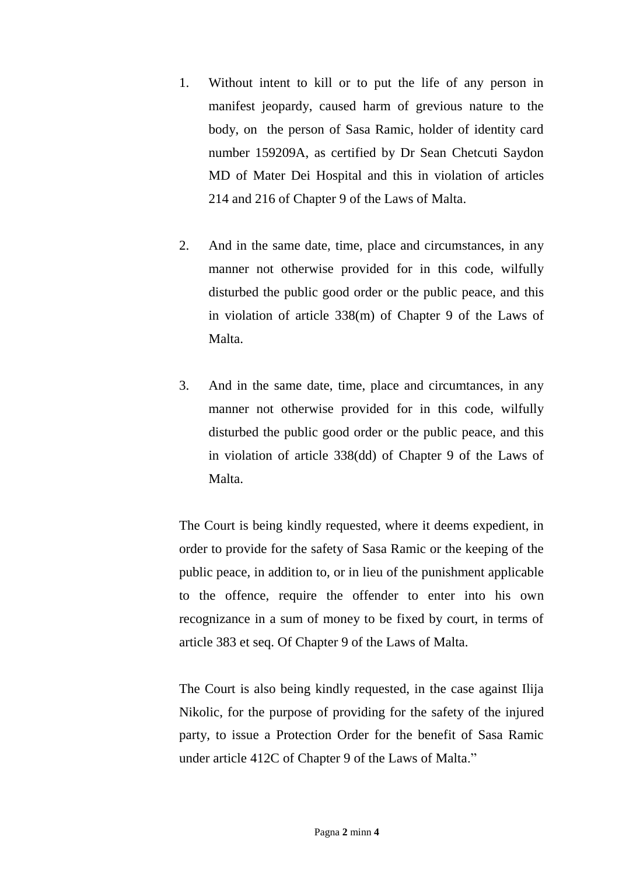- 1. Without intent to kill or to put the life of any person in manifest jeopardy, caused harm of grevious nature to the body, on the person of Sasa Ramic, holder of identity card number 159209A, as certified by Dr Sean Chetcuti Saydon MD of Mater Dei Hospital and this in violation of articles 214 and 216 of Chapter 9 of the Laws of Malta.
- 2. And in the same date, time, place and circumstances, in any manner not otherwise provided for in this code, wilfully disturbed the public good order or the public peace, and this in violation of article 338(m) of Chapter 9 of the Laws of Malta.
- 3. And in the same date, time, place and circumtances, in any manner not otherwise provided for in this code, wilfully disturbed the public good order or the public peace, and this in violation of article 338(dd) of Chapter 9 of the Laws of Malta.

The Court is being kindly requested, where it deems expedient, in order to provide for the safety of Sasa Ramic or the keeping of the public peace, in addition to, or in lieu of the punishment applicable to the offence, require the offender to enter into his own recognizance in a sum of money to be fixed by court, in terms of article 383 et seq. Of Chapter 9 of the Laws of Malta.

The Court is also being kindly requested, in the case against Ilija Nikolic, for the purpose of providing for the safety of the injured party, to issue a Protection Order for the benefit of Sasa Ramic under article 412C of Chapter 9 of the Laws of Malta."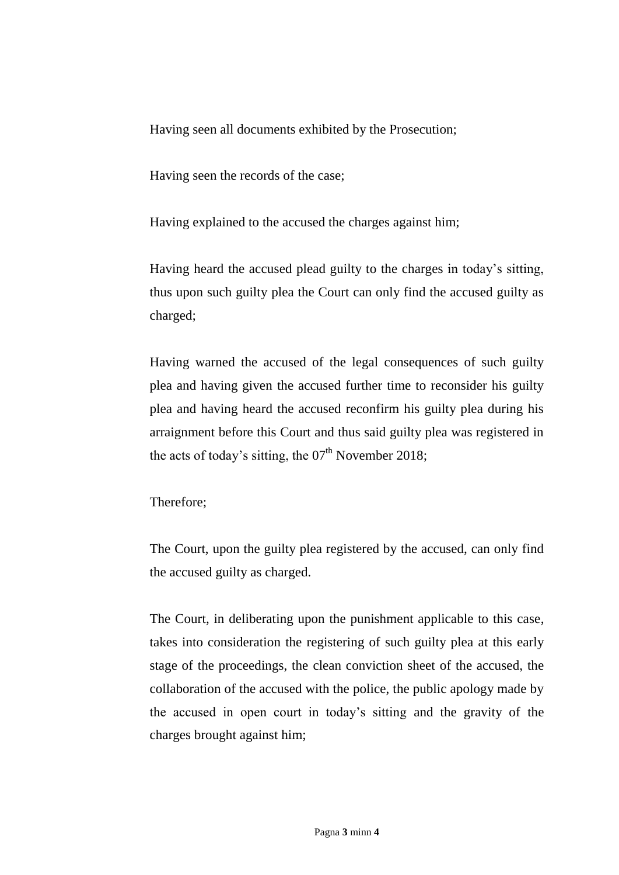Having seen all documents exhibited by the Prosecution;

Having seen the records of the case;

Having explained to the accused the charges against him;

Having heard the accused plead guilty to the charges in today's sitting, thus upon such guilty plea the Court can only find the accused guilty as charged;

Having warned the accused of the legal consequences of such guilty plea and having given the accused further time to reconsider his guilty plea and having heard the accused reconfirm his guilty plea during his arraignment before this Court and thus said guilty plea was registered in the acts of today's sitting, the  $07<sup>th</sup>$  November 2018;

Therefore;

The Court, upon the guilty plea registered by the accused, can only find the accused guilty as charged.

The Court, in deliberating upon the punishment applicable to this case, takes into consideration the registering of such guilty plea at this early stage of the proceedings, the clean conviction sheet of the accused, the collaboration of the accused with the police, the public apology made by the accused in open court in today's sitting and the gravity of the charges brought against him;